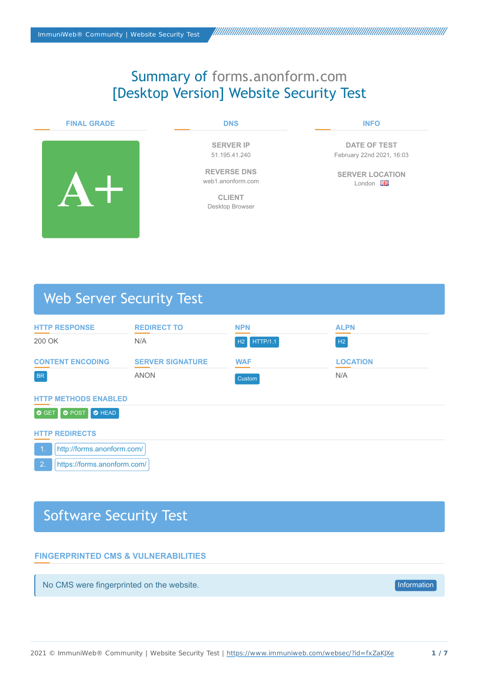# Summary of forms.anonform.com [Desktop Version] Website Security Test

### **FINAL GRADE**



#### **DNS**

**SERVER IP** 51.195.41.240

**REVERSE DNS** web1.anonform.com

**CLIENT** Desktop Browser

#### **INFO**

**DATE OF TEST** February 22nd 2021, 16:03

**SERVER LOCATION** London Ha

# Web Server Security Test

| <b>HTTP RESPONSE</b>                | <b>REDIRECT TO</b>      | <b>NPN</b>  | <b>ALPN</b>     |  |
|-------------------------------------|-------------------------|-------------|-----------------|--|
| 200 OK                              | N/A                     | H2 HTTP/1.1 | H2              |  |
| <b>CONTENT ENCODING</b>             | <b>SERVER SIGNATURE</b> | <b>WAF</b>  | <b>LOCATION</b> |  |
| <b>BR</b>                           | <b>ANON</b>             | Custom      | N/A             |  |
| <b>HTTP METHODS ENABLED</b>         |                         |             |                 |  |
| O GET<br>O POST <b>O</b> HEAD       |                         |             |                 |  |
| <b>HTTP REDIRECTS</b>               |                         |             |                 |  |
| http://forms.anonform.com/<br>$-1.$ |                         |             |                 |  |
| 2.<br>https://forms.anonform.com/   |                         |             |                 |  |

# Software Security Test

## **FINGERPRINTED CMS & VULNERABILITIES**

No CMS were fingerprinted on the website. Information website the state of the website of the website of the website of the website of the website of the website of the website of the website of the website of the website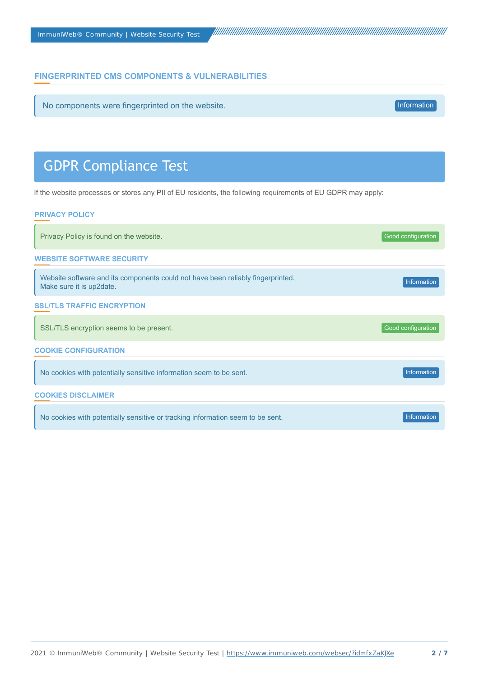# **FINGERPRINTED CMS COMPONENTS & VULNERABILITIES**

No components were fingerprinted on the website. Information website and the website of the website of the website of the website of the website of the website of the website of the website of the website of the website of

# GDPR Compliance Test

If the website processes or stores any PII of EU residents, the following requirements of EU GDPR may apply:

#### **PRIVACY POLICY**

| Privacy Policy is found on the website.                                                                     | Good configuration |  |
|-------------------------------------------------------------------------------------------------------------|--------------------|--|
| <b>WEBSITE SOFTWARE SECURITY</b>                                                                            |                    |  |
| Website software and its components could not have been reliably fingerprinted.<br>Make sure it is up2date. | Information        |  |
| <b>SSL/TLS TRAFFIC ENCRYPTION</b>                                                                           |                    |  |
| SSL/TLS encryption seems to be present.                                                                     | Good configuration |  |
| <b>COOKIE CONFIGURATION</b>                                                                                 |                    |  |
| No cookies with potentially sensitive information seem to be sent.                                          | Information        |  |
| <b>COOKIES DISCLAIMER</b>                                                                                   |                    |  |
| No cookies with potentially sensitive or tracking information seem to be sent.                              | Information        |  |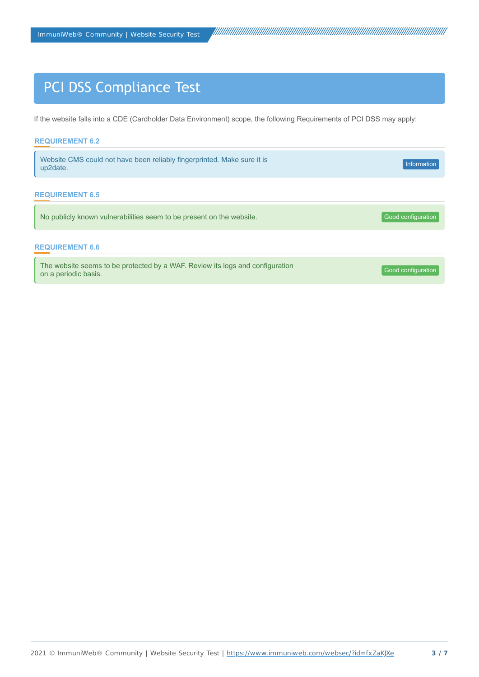# PCI DSS Compliance Test

If the website falls into a CDE (Cardholder Data Environment) scope, the following Requirements of PCI DSS may apply:

| <b>REQUIREMENT 6.2</b> |                                                                               |                    |
|------------------------|-------------------------------------------------------------------------------|--------------------|
| up2date.               | Website CMS could not have been reliably fingerprinted. Make sure it is       | Information        |
| <b>REQUIREMENT 6.5</b> |                                                                               |                    |
|                        | No publicly known vulnerabilities seem to be present on the website.          | Good configuration |
| <b>REQUIREMENT 6.6</b> |                                                                               |                    |
| on a periodic basis.   | The website seems to be protected by a WAF. Review its logs and configuration | Good configuration |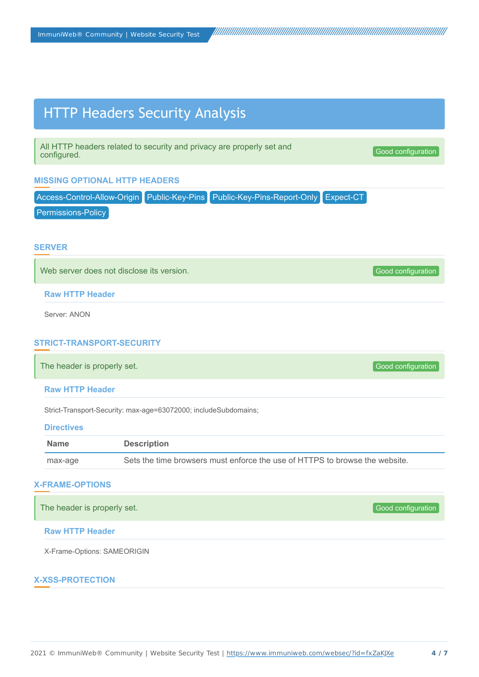# HTTP Headers Security Analysis

All HTTP headers related to security and privacy are properly set and configured.

Good configuration

## **MISSING OPTIONAL HTTP HEADERS**

Access-Control-Allow-Origin Public-Key-Pins Public-Key-Pins-Report-Only Expect-CT

Permissions-Policy

## **SERVER**

Web server does not disclose its version. Good configuration and configuration of the server of the server of the server of the server of the server of the server of the server of the server of the server of the server of

**Raw HTTP Header**

Server: ANON

### **STRICT-TRANSPORT-SECURITY**

The header is properly set. The header is properly set.

**Raw HTTP Header**

Strict-Transport-Security: max-age=63072000; includeSubdomains;

#### **Directives**

| <b>Name</b> | <b>Description</b>                                                          |
|-------------|-----------------------------------------------------------------------------|
| max-age     | Sets the time browsers must enforce the use of HTTPS to browse the website. |

#### **X-FRAME-OPTIONS**

The header is properly set. The header is properly set. Good configuration and the set of the set of the set of the set of the set of the set of the set of the set of the set of the set of the set of the set of the set of

### **Raw HTTP Header**

X-Frame-Options: SAMEORIGIN

#### **X-XSS-PROTECTION**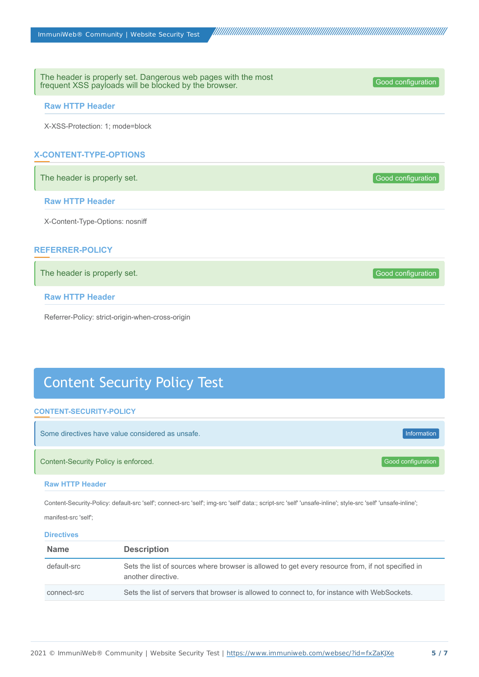The header is properly set. Dangerous web pages with the most<br>frequent XSS payloads will be blocked by the browser frequent XSS payloads will be blocked by the browser.

#### **Raw HTTP Header**

X-XSS-Protection: 1; mode=block

# **X-CONTENT-TYPE-OPTIONS**

The header is properly set. The header is properly set.

#### **Raw HTTP Header**

X-Content-Type-Options: nosniff

### **REFERRER-POLICY**

The header is properly set. The header is properly set. Good configuration continues and the set of Good configuration

## **Raw HTTP Header**

Referrer-Policy: strict-origin-when-cross-origin

# Content Security Policy Test

#### **CONTENT-SECURITY-POLICY**

| Some directives have value considered as unsafe. | Information        |
|--------------------------------------------------|--------------------|
| Content-Security Policy is enforced.             | Good configuration |

#### **Raw HTTP Header**

Content-Security-Policy: default-src 'self'; connect-src 'self'; img-src 'self' data:; script-src 'self' 'unsafe-inline'; style-src 'self' 'unsafe-inline';

manifest-src 'self';

#### **Directives**

| <b>Name</b> | <b>Description</b>                                                                                                      |
|-------------|-------------------------------------------------------------------------------------------------------------------------|
| default-src | Sets the list of sources where browser is allowed to get every resource from, if not specified in<br>another directive. |
| connect-src | Sets the list of servers that browser is allowed to connect to, for instance with WebSockets.                           |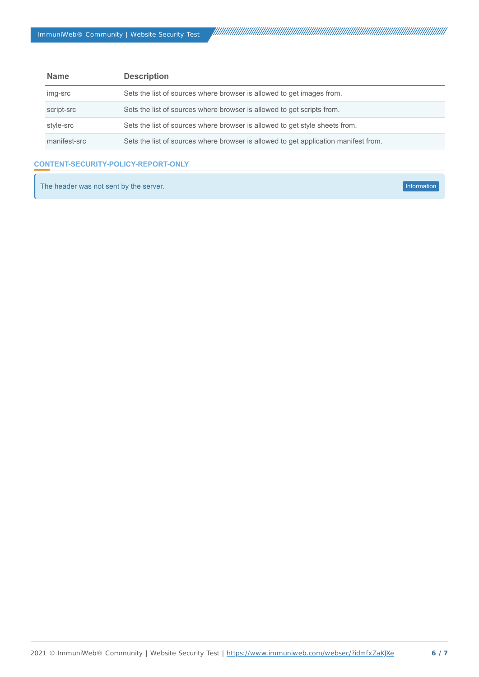| <b>Name</b>  | <b>Description</b>                                                                  |  |
|--------------|-------------------------------------------------------------------------------------|--|
| img-src      | Sets the list of sources where browser is allowed to get images from.               |  |
| script-src   | Sets the list of sources where browser is allowed to get scripts from.              |  |
| style-src    | Sets the list of sources where browser is allowed to get style sheets from.         |  |
| manifest-src | Sets the list of sources where browser is allowed to get application manifest from. |  |

# **CONTENT-SECURITY-POLICY-REPORT-ONLY**

The header was not sent by the server. Information was a structured by the server of the server of the server.